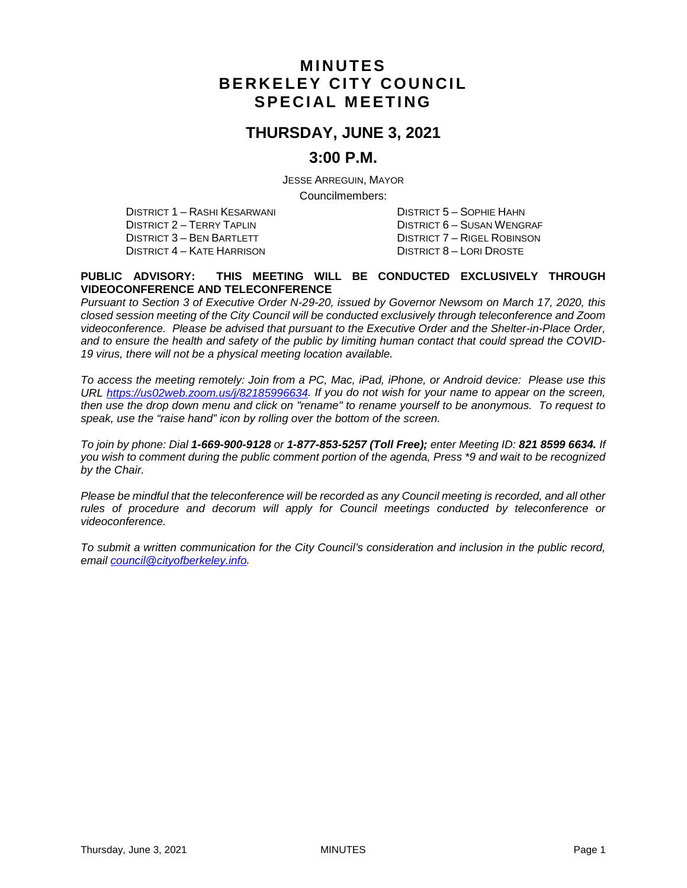## **MINUTES BERKELEY CITY COUNCIL SPECIAL MEETING**

### **THURSDAY, JUNE 3, 2021**

### **3:00 P.M.**

JESSE ARREGUIN, MAYOR

Councilmembers:

DISTRICT 1 – RASHI KESARWANI DISTRICT 5 – SOPHIE HAHN DISTRICT 2 – TERRY TAPLIN DISTRICT 3 – BEN BARTLETT DISTRICT 7 – RIGEL ROBINSON DISTRICT 4 – KATE HARRISON DISTRICT 8 – LORI DROSTE

#### **PUBLIC ADVISORY: THIS MEETING WILL BE CONDUCTED EXCLUSIVELY THROUGH VIDEOCONFERENCE AND TELECONFERENCE**

*Pursuant to Section 3 of Executive Order N-29-20, issued by Governor Newsom on March 17, 2020, this closed session meeting of the City Council will be conducted exclusively through teleconference and Zoom videoconference. Please be advised that pursuant to the Executive Order and the Shelter-in-Place Order, and to ensure the health and safety of the public by limiting human contact that could spread the COVID-19 virus, there will not be a physical meeting location available.* 

*To access the meeting remotely: Join from a PC, Mac, iPad, iPhone, or Android device: Please use this URL [https://us02web.zoom.us/j/82185996634.](https://us02web.zoom.us/j/82185996634) If you do not wish for your name to appear on the screen, then use the drop down menu and click on "rename" to rename yourself to be anonymous. To request to speak, use the "raise hand" icon by rolling over the bottom of the screen.* 

*To join by phone: Dial 1-669-900-9128 or 1-877-853-5257 (Toll Free); enter Meeting ID: 821 8599 6634. If you wish to comment during the public comment portion of the agenda, Press \*9 and wait to be recognized by the Chair.* 

*Please be mindful that the teleconference will be recorded as any Council meeting is recorded, and all other rules of procedure and decorum will apply for Council meetings conducted by teleconference or videoconference.*

*To submit a written communication for the City Council's consideration and inclusion in the public record, email [council@cityofberkeley.info.](mailto:council@cityofberkeley.info)*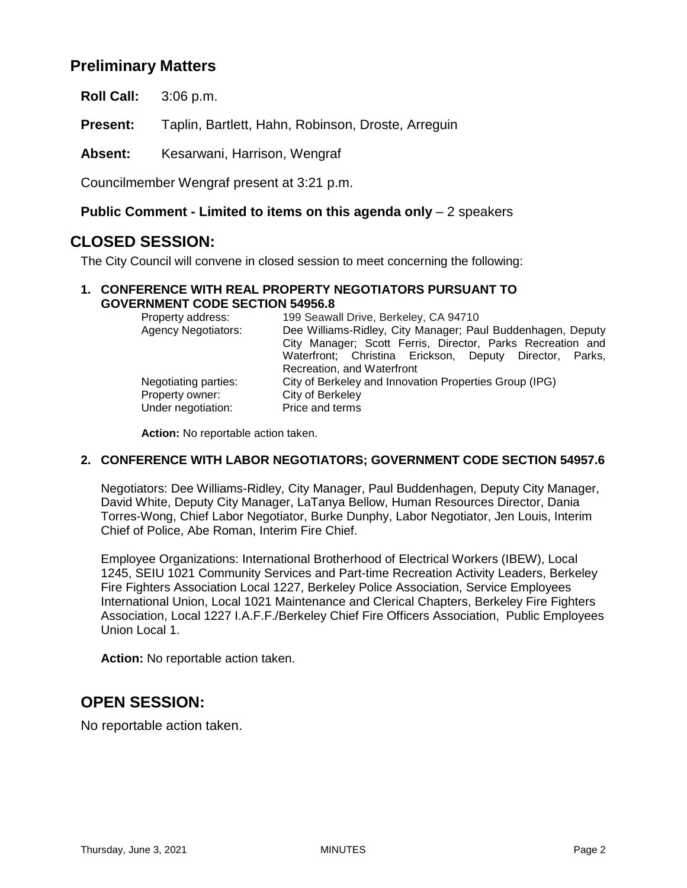## **Preliminary Matters**

**Roll Call:** 3:06 p.m.

**Present:** Taplin, Bartlett, Hahn, Robinson, Droste, Arreguin

**Absent:** Kesarwani, Harrison, Wengraf

Councilmember Wengraf present at 3:21 p.m.

### **Public Comment - Limited to items on this agenda only** – 2 speakers

## **CLOSED SESSION:**

The City Council will convene in closed session to meet concerning the following:

#### **1. CONFERENCE WITH REAL PROPERTY NEGOTIATORS PURSUANT TO GOVERNMENT CODE SECTION 54956.8**

| Property address:          | 199 Seawall Drive, Berkeley, CA 94710                       |
|----------------------------|-------------------------------------------------------------|
| <b>Agency Negotiators:</b> | Dee Williams-Ridley, City Manager; Paul Buddenhagen, Deputy |
|                            | City Manager; Scott Ferris, Director, Parks Recreation and  |
|                            | Waterfront; Christina Erickson, Deputy Director, Parks,     |
|                            | Recreation, and Waterfront                                  |
| Negotiating parties:       | City of Berkeley and Innovation Properties Group (IPG)      |
| Property owner:            | City of Berkeley                                            |
| Under negotiation:         | Price and terms                                             |

**Action:** No reportable action taken.

#### **2. CONFERENCE WITH LABOR NEGOTIATORS; GOVERNMENT CODE SECTION 54957.6**

Negotiators: Dee Williams-Ridley, City Manager, Paul Buddenhagen, Deputy City Manager, David White, Deputy City Manager, LaTanya Bellow, Human Resources Director, Dania Torres-Wong, Chief Labor Negotiator, Burke Dunphy, Labor Negotiator, Jen Louis, Interim Chief of Police, Abe Roman, Interim Fire Chief.

Employee Organizations: International Brotherhood of Electrical Workers (IBEW), Local 1245, SEIU 1021 Community Services and Part-time Recreation Activity Leaders, Berkeley Fire Fighters Association Local 1227, Berkeley Police Association, Service Employees International Union, Local 1021 Maintenance and Clerical Chapters, Berkeley Fire Fighters Association, Local 1227 I.A.F.F./Berkeley Chief Fire Officers Association, Public Employees Union Local 1.

**Action:** No reportable action taken.

## **OPEN SESSION:**

No reportable action taken.